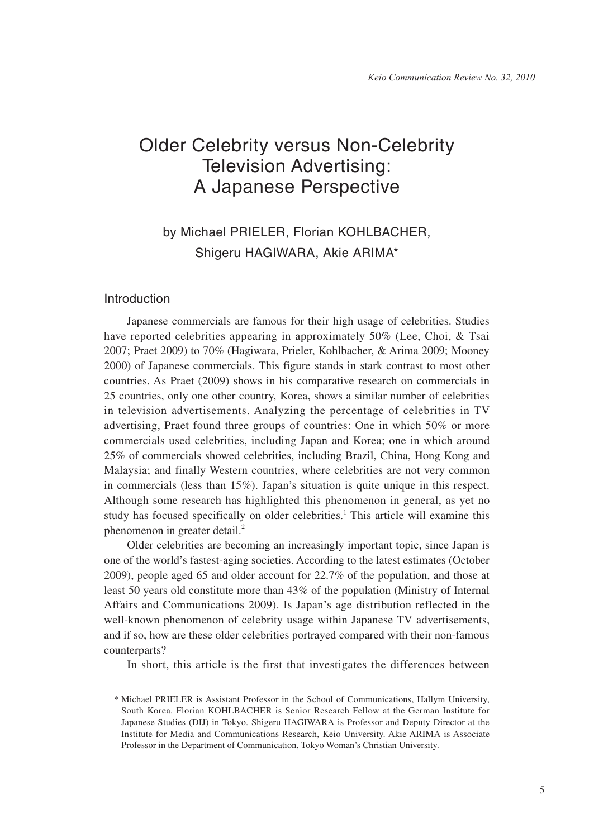# Older Celebrity versus Non-Celebrity Television Advertising: A Japanese Perspective

## by Michael PRIELER, Florian KOHLBACHER, Shigeru HAGIWARA, Akie ARIMA\*

## Introduction

Japanese commercials are famous for their high usage of celebrities. Studies have reported celebrities appearing in approximately 50% (Lee, Choi, & Tsai 2007; Praet 2009) to 70% (Hagiwara, Prieler, Kohlbacher, & Arima 2009; Mooney 2000) of Japanese commercials. This figure stands in stark contrast to most other countries. As Praet (2009) shows in his comparative research on commercials in 25 countries, only one other country, Korea, shows a similar number of celebrities in television advertisements. Analyzing the percentage of celebrities in TV advertising, Praet found three groups of countries: One in which 50% or more commercials used celebrities, including Japan and Korea; one in which around 25% of commercials showed celebrities, including Brazil, China, Hong Kong and Malaysia; and finally Western countries, where celebrities are not very common in commercials (less than 15%). Japan's situation is quite unique in this respect. Although some research has highlighted this phenomenon in general, as yet no study has focused specifically on older celebrities.<sup>1</sup> This article will examine this phenomenon in greater detail.<sup>2</sup>

Older celebrities are becoming an increasingly important topic, since Japan is one of the world's fastest-aging societies. According to the latest estimates (October 2009), people aged 65 and older account for 22.7% of the population, and those at least 50 years old constitute more than 43% of the population (Ministry of Internal Affairs and Communications 2009). Is Japan's age distribution reflected in the well-known phenomenon of celebrity usage within Japanese TV advertisements, and if so, how are these older celebrities portrayed compared with their non-famous counterparts?

In short, this article is the first that investigates the differences between

<sup>\*</sup> Michael PRIELER is Assistant Professor in the School of Communications, Hallym University, South Korea. Florian KOHLBACHER is Senior Research Fellow at the German Institute for Japanese Studies (DIJ) in Tokyo. Shigeru HAGIWARA is Professor and Deputy Director at the Institute for Media and Communications Research, Keio University. Akie ARIMA is Associate Professor in the Department of Communication, Tokyo Woman's Christian University.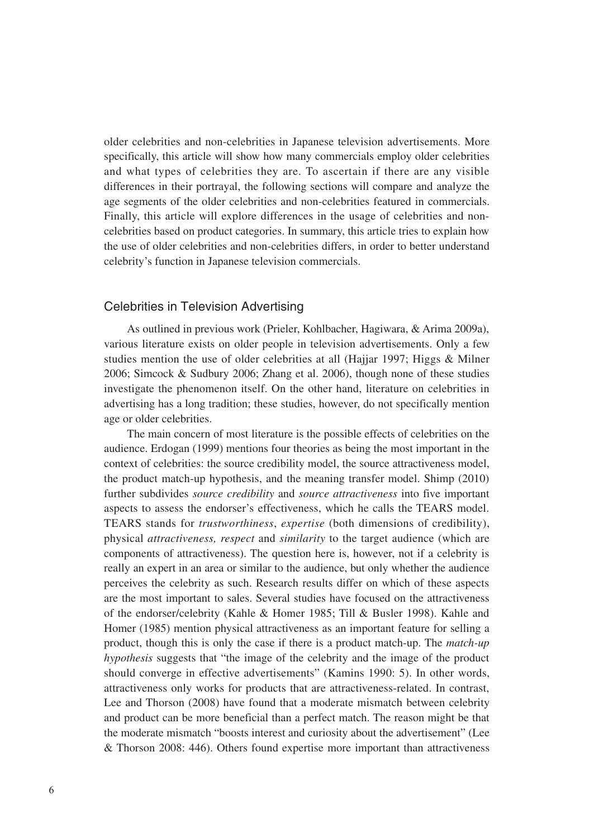older celebrities and non-celebrities in Japanese television advertisements. More specifically, this article will show how many commercials employ older celebrities and what types of celebrities they are. To ascertain if there are any visible differences in their portrayal, the following sections will compare and analyze the age segments of the older celebrities and non-celebrities featured in commercials. Finally, this article will explore differences in the usage of celebrities and noncelebrities based on product categories. In summary, this article tries to explain how the use of older celebrities and non-celebrities differs, in order to better understand celebrity's function in Japanese television commercials.

#### Celebrities in Television Advertising

As outlined in previous work (Prieler, Kohlbacher, Hagiwara, & Arima 2009a), various literature exists on older people in television advertisements. Only a few studies mention the use of older celebrities at all (Hajjar 1997; Higgs & Milner 2006; Simcock & Sudbury 2006; Zhang et al. 2006), though none of these studies investigate the phenomenon itself. On the other hand, literature on celebrities in advertising has a long tradition; these studies, however, do not specifically mention age or older celebrities.

The main concern of most literature is the possible effects of celebrities on the audience. Erdogan (1999) mentions four theories as being the most important in the context of celebrities: the source credibility model, the source attractiveness model, the product match-up hypothesis, and the meaning transfer model. Shimp (2010) further subdivides *source credibility* and *source attractiveness* into five important aspects to assess the endorser's effectiveness, which he calls the TEARS model. TEARS stands for *trustworthiness*, *expertise* (both dimensions of credibility), physical *attractiveness, respect* and *similarity* to the target audience (which are components of attractiveness). The question here is, however, not if a celebrity is really an expert in an area or similar to the audience, but only whether the audience perceives the celebrity as such. Research results differ on which of these aspects are the most important to sales. Several studies have focused on the attractiveness of the endorser/celebrity (Kahle & Homer 1985; Till & Busler 1998). Kahle and Homer (1985) mention physical attractiveness as an important feature for selling a product, though this is only the case if there is a product match-up. The *match-up hypothesis* suggests that "the image of the celebrity and the image of the product should converge in effective advertisements" (Kamins 1990: 5). In other words, attractiveness only works for products that are attractiveness-related. In contrast, Lee and Thorson (2008) have found that a moderate mismatch between celebrity and product can be more beneficial than a perfect match. The reason might be that the moderate mismatch "boosts interest and curiosity about the advertisement" (Lee & Thorson 2008: 446). Others found expertise more important than attractiveness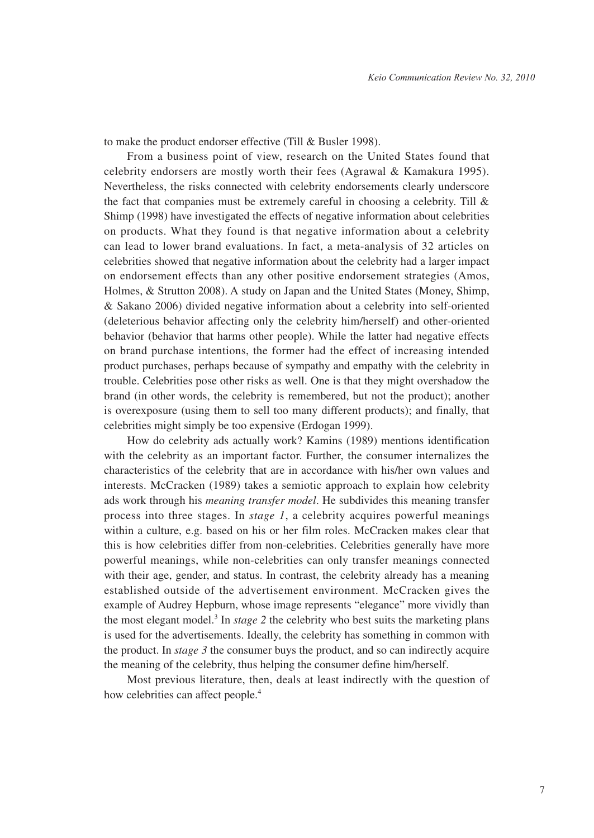to make the product endorser effective (Till & Busler 1998).

From a business point of view, research on the United States found that celebrity endorsers are mostly worth their fees (Agrawal & Kamakura 1995). Nevertheless, the risks connected with celebrity endorsements clearly underscore the fact that companies must be extremely careful in choosing a celebrity. Till & Shimp (1998) have investigated the effects of negative information about celebrities on products. What they found is that negative information about a celebrity can lead to lower brand evaluations. In fact, a meta-analysis of 32 articles on celebrities showed that negative information about the celebrity had a larger impact on endorsement effects than any other positive endorsement strategies (Amos, Holmes, & Strutton 2008). A study on Japan and the United States (Money, Shimp, & Sakano 2006) divided negative information about a celebrity into self-oriented (deleterious behavior affecting only the celebrity him/herself) and other-oriented behavior (behavior that harms other people). While the latter had negative effects on brand purchase intentions, the former had the effect of increasing intended product purchases, perhaps because of sympathy and empathy with the celebrity in trouble. Celebrities pose other risks as well. One is that they might overshadow the brand (in other words, the celebrity is remembered, but not the product); another is overexposure (using them to sell too many different products); and finally, that celebrities might simply be too expensive (Erdogan 1999).

How do celebrity ads actually work? Kamins (1989) mentions identification with the celebrity as an important factor. Further, the consumer internalizes the characteristics of the celebrity that are in accordance with his/her own values and interests. McCracken (1989) takes a semiotic approach to explain how celebrity ads work through his *meaning transfer model*. He subdivides this meaning transfer process into three stages. In *stage 1*, a celebrity acquires powerful meanings within a culture, e.g. based on his or her film roles. McCracken makes clear that this is how celebrities differ from non-celebrities. Celebrities generally have more powerful meanings, while non-celebrities can only transfer meanings connected with their age, gender, and status. In contrast, the celebrity already has a meaning established outside of the advertisement environment. McCracken gives the example of Audrey Hepburn, whose image represents "elegance" more vividly than the most elegant model.<sup>3</sup> In *stage* 2 the celebrity who best suits the marketing plans is used for the advertisements. Ideally, the celebrity has something in common with the product. In *stage 3* the consumer buys the product, and so can indirectly acquire the meaning of the celebrity, thus helping the consumer define him/herself.

Most previous literature, then, deals at least indirectly with the question of how celebrities can affect people.<sup>4</sup>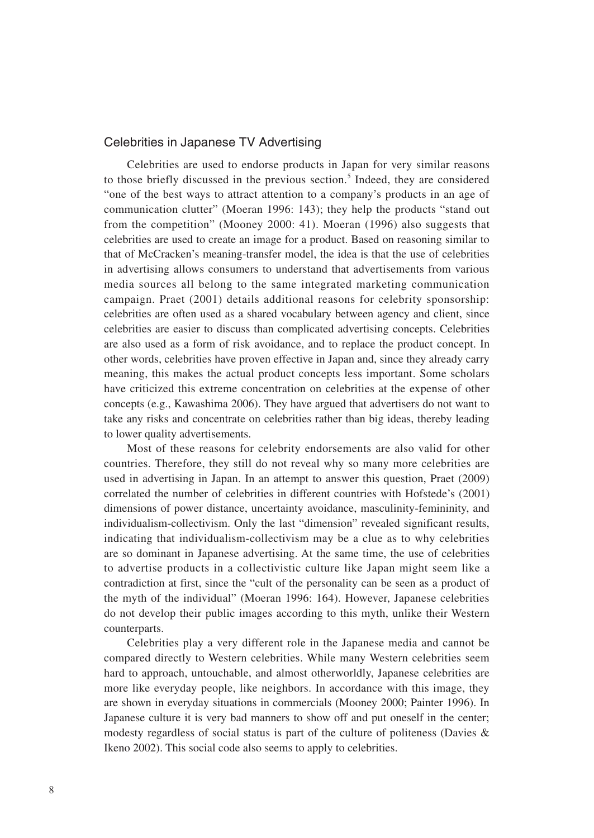## Celebrities in Japanese TV Advertising

Celebrities are used to endorse products in Japan for very similar reasons to those briefly discussed in the previous section.<sup>5</sup> Indeed, they are considered "one of the best ways to attract attention to a company's products in an age of communication clutter" (Moeran 1996: 143); they help the products "stand out from the competition" (Mooney 2000: 41). Moeran (1996) also suggests that celebrities are used to create an image for a product. Based on reasoning similar to that of McCracken's meaning-transfer model, the idea is that the use of celebrities in advertising allows consumers to understand that advertisements from various media sources all belong to the same integrated marketing communication campaign. Praet (2001) details additional reasons for celebrity sponsorship: celebrities are often used as a shared vocabulary between agency and client, since celebrities are easier to discuss than complicated advertising concepts. Celebrities are also used as a form of risk avoidance, and to replace the product concept. In other words, celebrities have proven effective in Japan and, since they already carry meaning, this makes the actual product concepts less important. Some scholars have criticized this extreme concentration on celebrities at the expense of other concepts (e.g., Kawashima 2006). They have argued that advertisers do not want to take any risks and concentrate on celebrities rather than big ideas, thereby leading to lower quality advertisements.

Most of these reasons for celebrity endorsements are also valid for other countries. Therefore, they still do not reveal why so many more celebrities are used in advertising in Japan. In an attempt to answer this question, Praet (2009) correlated the number of celebrities in different countries with Hofstede's (2001) dimensions of power distance, uncertainty avoidance, masculinity-femininity, and individualism-collectivism. Only the last "dimension" revealed significant results, indicating that individualism-collectivism may be a clue as to why celebrities are so dominant in Japanese advertising. At the same time, the use of celebrities to advertise products in a collectivistic culture like Japan might seem like a contradiction at first, since the "cult of the personality can be seen as a product of the myth of the individual" (Moeran 1996: 164). However, Japanese celebrities do not develop their public images according to this myth, unlike their Western counterparts.

Celebrities play a very different role in the Japanese media and cannot be compared directly to Western celebrities. While many Western celebrities seem hard to approach, untouchable, and almost otherworldly, Japanese celebrities are more like everyday people, like neighbors. In accordance with this image, they are shown in everyday situations in commercials (Mooney 2000; Painter 1996). In Japanese culture it is very bad manners to show off and put oneself in the center; modesty regardless of social status is part of the culture of politeness (Davies & Ikeno 2002). This social code also seems to apply to celebrities.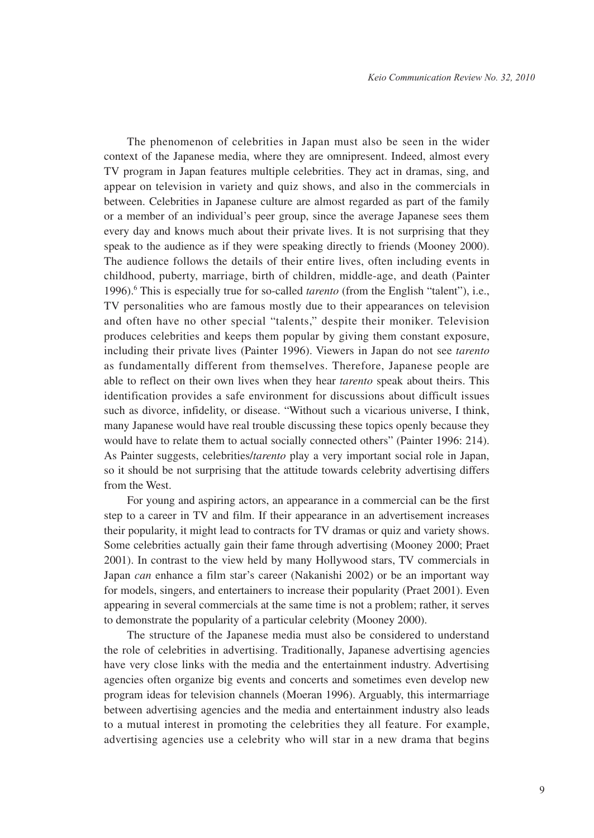The phenomenon of celebrities in Japan must also be seen in the wider context of the Japanese media, where they are omnipresent. Indeed, almost every TV program in Japan features multiple celebrities. They act in dramas, sing, and appear on television in variety and quiz shows, and also in the commercials in between. Celebrities in Japanese culture are almost regarded as part of the family or a member of an individual's peer group, since the average Japanese sees them every day and knows much about their private lives. It is not surprising that they speak to the audience as if they were speaking directly to friends (Mooney 2000). The audience follows the details of their entire lives, often including events in childhood, puberty, marriage, birth of children, middle-age, and death (Painter 1996).<sup>6</sup> This is especially true for so-called *tarento* (from the English "talent"), i.e., TV personalities who are famous mostly due to their appearances on television and often have no other special "talents," despite their moniker. Television produces celebrities and keeps them popular by giving them constant exposure, including their private lives (Painter 1996). Viewers in Japan do not see *tarento*  as fundamentally different from themselves. Therefore, Japanese people are able to reflect on their own lives when they hear *tarento* speak about theirs. This identification provides a safe environment for discussions about difficult issues such as divorce, infidelity, or disease. "Without such a vicarious universe, I think, many Japanese would have real trouble discussing these topics openly because they would have to relate them to actual socially connected others" (Painter 1996: 214). As Painter suggests, celebrities/*tarento* play a very important social role in Japan, so it should be not surprising that the attitude towards celebrity advertising differs from the West.

For young and aspiring actors, an appearance in a commercial can be the first step to a career in TV and film. If their appearance in an advertisement increases their popularity, it might lead to contracts for TV dramas or quiz and variety shows. Some celebrities actually gain their fame through advertising (Mooney 2000; Praet 2001). In contrast to the view held by many Hollywood stars, TV commercials in Japan *can* enhance a film star's career (Nakanishi 2002) or be an important way for models, singers, and entertainers to increase their popularity (Praet 2001). Even appearing in several commercials at the same time is not a problem; rather, it serves to demonstrate the popularity of a particular celebrity (Mooney 2000).

The structure of the Japanese media must also be considered to understand the role of celebrities in advertising. Traditionally, Japanese advertising agencies have very close links with the media and the entertainment industry. Advertising agencies often organize big events and concerts and sometimes even develop new program ideas for television channels (Moeran 1996). Arguably, this intermarriage between advertising agencies and the media and entertainment industry also leads to a mutual interest in promoting the celebrities they all feature. For example, advertising agencies use a celebrity who will star in a new drama that begins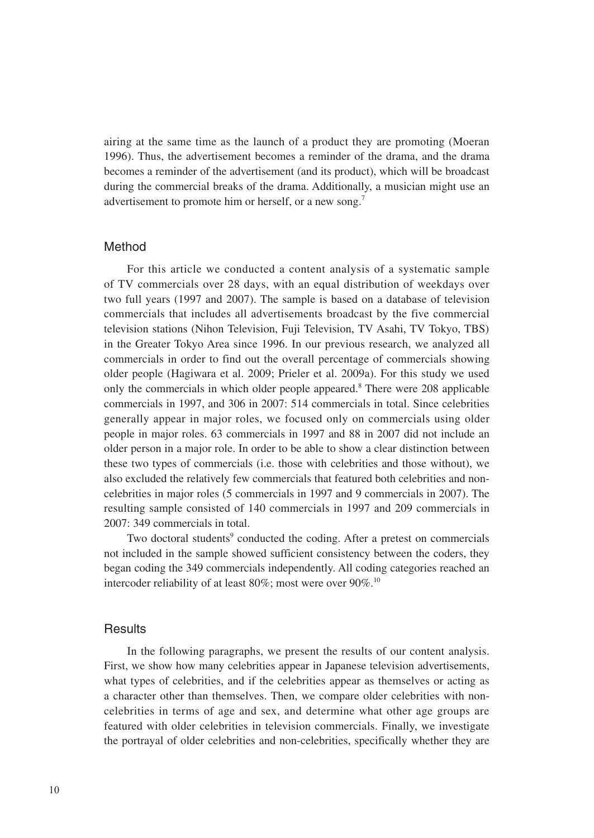airing at the same time as the launch of a product they are promoting (Moeran 1996). Thus, the advertisement becomes a reminder of the drama, and the drama becomes a reminder of the advertisement (and its product), which will be broadcast during the commercial breaks of the drama. Additionally, a musician might use an advertisement to promote him or herself, or a new song.<sup>7</sup>

## Method

For this article we conducted a content analysis of a systematic sample of TV commercials over 28 days, with an equal distribution of weekdays over two full years (1997 and 2007). The sample is based on a database of television commercials that includes all advertisements broadcast by the five commercial television stations (Nihon Television, Fuji Television, TV Asahi, TV Tokyo, TBS) in the Greater Tokyo Area since 1996. In our previous research, we analyzed all commercials in order to find out the overall percentage of commercials showing older people (Hagiwara et al. 2009; Prieler et al. 2009a). For this study we used only the commercials in which older people appeared.<sup>8</sup> There were 208 applicable commercials in 1997, and 306 in 2007: 514 commercials in total. Since celebrities generally appear in major roles, we focused only on commercials using older people in major roles. 63 commercials in 1997 and 88 in 2007 did not include an older person in a major role. In order to be able to show a clear distinction between these two types of commercials (i.e. those with celebrities and those without), we also excluded the relatively few commercials that featured both celebrities and noncelebrities in major roles (5 commercials in 1997 and 9 commercials in 2007). The resulting sample consisted of 140 commercials in 1997 and 209 commercials in 2007: 349 commercials in total.

Two doctoral students<sup>9</sup> conducted the coding. After a pretest on commercials not included in the sample showed sufficient consistency between the coders, they began coding the 349 commercials independently. All coding categories reached an intercoder reliability of at least  $80\%$ ; most were over  $90\%$ .<sup>10</sup>

#### **Results**

In the following paragraphs, we present the results of our content analysis. First, we show how many celebrities appear in Japanese television advertisements, what types of celebrities, and if the celebrities appear as themselves or acting as a character other than themselves. Then, we compare older celebrities with noncelebrities in terms of age and sex, and determine what other age groups are featured with older celebrities in television commercials. Finally, we investigate the portrayal of older celebrities and non-celebrities, specifically whether they are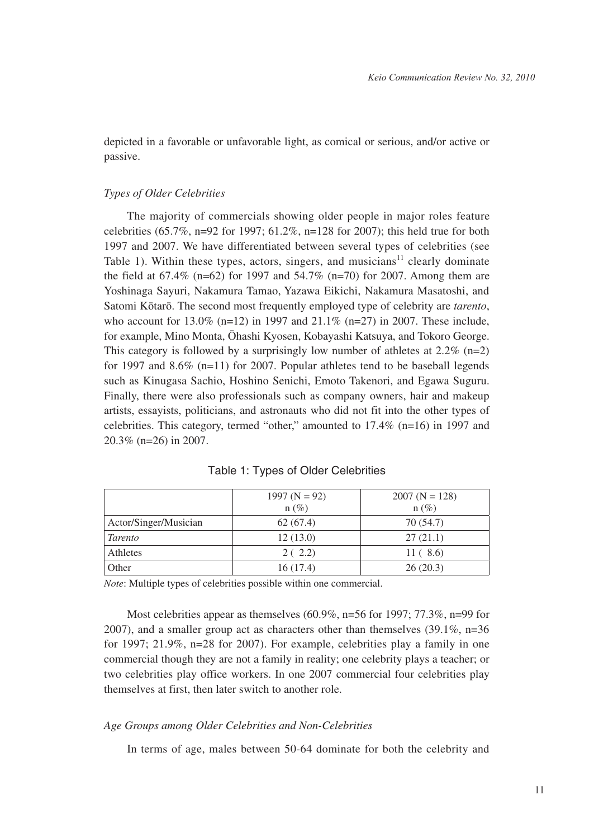depicted in a favorable or unfavorable light, as comical or serious, and/or active or passive.

#### *Types of Older Celebrities*

The majority of commercials showing older people in major roles feature celebrities (65.7%, n=92 for 1997; 61.2%, n=128 for 2007); this held true for both 1997 and 2007. We have differentiated between several types of celebrities (see Table 1). Within these types, actors, singers, and musicians $11$  clearly dominate the field at  $67.4\%$  (n=62) for 1997 and  $54.7\%$  (n=70) for 2007. Among them are Yoshinaga Sayuri, Nakamura Tamao, Yazawa Eikichi, Nakamura Masatoshi, and Satomi Kōtarō. The second most frequently employed type of celebrity are *tarento*, who account for 13.0% (n=12) in 1997 and 21.1% (n=27) in 2007. These include, for example, Mino Monta, Ōhashi Kyosen, Kobayashi Katsuya, and Tokoro George. This category is followed by a surprisingly low number of athletes at  $2.2\%$  (n=2) for 1997 and 8.6% (n=11) for 2007. Popular athletes tend to be baseball legends such as Kinugasa Sachio, Hoshino Senichi, Emoto Takenori, and Egawa Suguru. Finally, there were also professionals such as company owners, hair and makeup artists, essayists, politicians, and astronauts who did not fit into the other types of celebrities. This category, termed "other," amounted to 17.4% (n=16) in 1997 and 20.3% (n=26) in 2007.

|                       | 1997 ( $N = 92$ )<br>$n(\%)$ | $2007 (N = 128)$<br>$n(\%)$ |
|-----------------------|------------------------------|-----------------------------|
| Actor/Singer/Musician | 62(67.4)                     | 70 (54.7)                   |
| <i>Tarento</i>        | 12(13.0)                     | 27(21.1)                    |
| Athletes              | 2(2.2)                       | 11(.8.6)                    |
| Other                 | 16(17.4)                     | 26(20.3)                    |

Table 1: Types of Older Celebrities

*Note*: Multiple types of celebrities possible within one commercial.

Most celebrities appear as themselves (60.9%, n=56 for 1997; 77.3%, n=99 for 2007), and a smaller group act as characters other than themselves (39.1%, n=36 for 1997; 21.9%, n=28 for 2007). For example, celebrities play a family in one commercial though they are not a family in reality; one celebrity plays a teacher; or two celebrities play office workers. In one 2007 commercial four celebrities play themselves at first, then later switch to another role.

#### *Age Groups among Older Celebrities and Non-Celebrities*

In terms of age, males between 50-64 dominate for both the celebrity and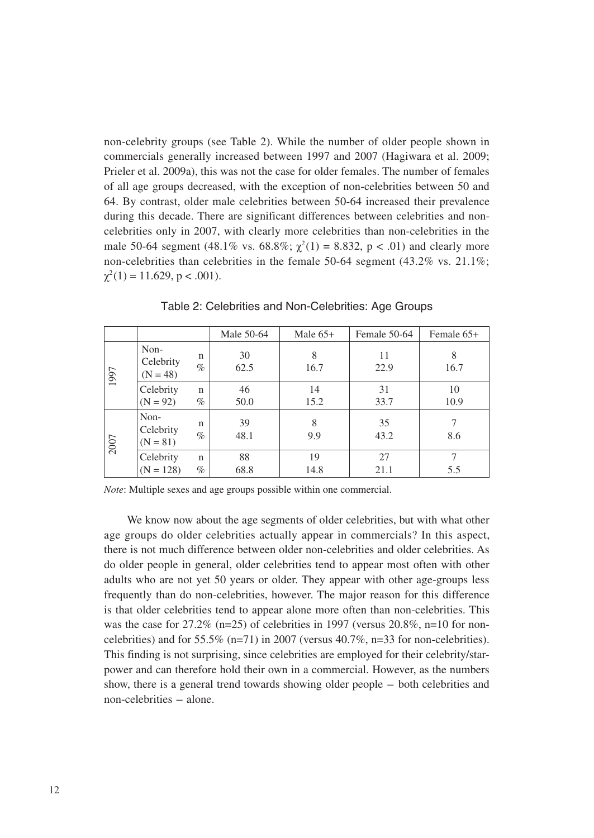non-celebrity groups (see Table 2). While the number of older people shown in commercials generally increased between 1997 and 2007 (Hagiwara et al. 2009; Prieler et al. 2009a), this was not the case for older females. The number of females of all age groups decreased, with the exception of non-celebrities between 50 and 64. By contrast, older male celebrities between 50-64 increased their prevalence during this decade. There are significant differences between celebrities and noncelebrities only in 2007, with clearly more celebrities than non-celebrities in the male 50-64 segment (48.1% vs. 68.8%;  $\chi^2(1) = 8.832$ , p < .01) and clearly more non-celebrities than celebrities in the female 50-64 segment (43.2% vs. 21.1%;  $\chi^2(1) = 11.629$ , p < .001).

|      |                                 |                      | Male 50-64 | Male $65+$ | Female 50-64 | Female 65+ |
|------|---------------------------------|----------------------|------------|------------|--------------|------------|
| 1997 | Non-<br>Celebrity<br>$(N = 48)$ | n<br>$\%$            | 30<br>62.5 | 8<br>16.7  | 11<br>22.9   | 8<br>16.7  |
|      | Celebrity<br>$(N = 92)$         | $\mathsf{n}$<br>$\%$ | 46<br>50.0 | 14<br>15.2 | 31<br>33.7   | 10<br>10.9 |
| 2007 | Non-<br>Celebrity<br>$(N = 81)$ | n<br>$\%$            | 39<br>48.1 | 8<br>9.9   | 35<br>43.2   | 8.6        |
|      | Celebrity<br>$(N = 128)$        | $\mathbf n$<br>$\%$  | 88<br>68.8 | 19<br>14.8 | 27<br>21.1   | 7<br>5.5   |

Table 2: Celebrities and Non-Celebrities: Age Groups

*Note*: Multiple sexes and age groups possible within one commercial.

We know now about the age segments of older celebrities, but with what other age groups do older celebrities actually appear in commercials? In this aspect, there is not much difference between older non-celebrities and older celebrities. As do older people in general, older celebrities tend to appear most often with other adults who are not yet 50 years or older. They appear with other age-groups less frequently than do non-celebrities, however. The major reason for this difference is that older celebrities tend to appear alone more often than non-celebrities. This was the case for  $27.2\%$  (n=25) of celebrities in 1997 (versus  $20.8\%$ , n=10 for noncelebrities) and for  $55.5\%$  (n=71) in 2007 (versus 40.7%, n=33 for non-celebrities). This finding is not surprising, since celebrities are employed for their celebrity/starpower and can therefore hold their own in a commercial. However, as the numbers show, there is a general trend towards showing older people - both celebrities and non-celebrities - alone.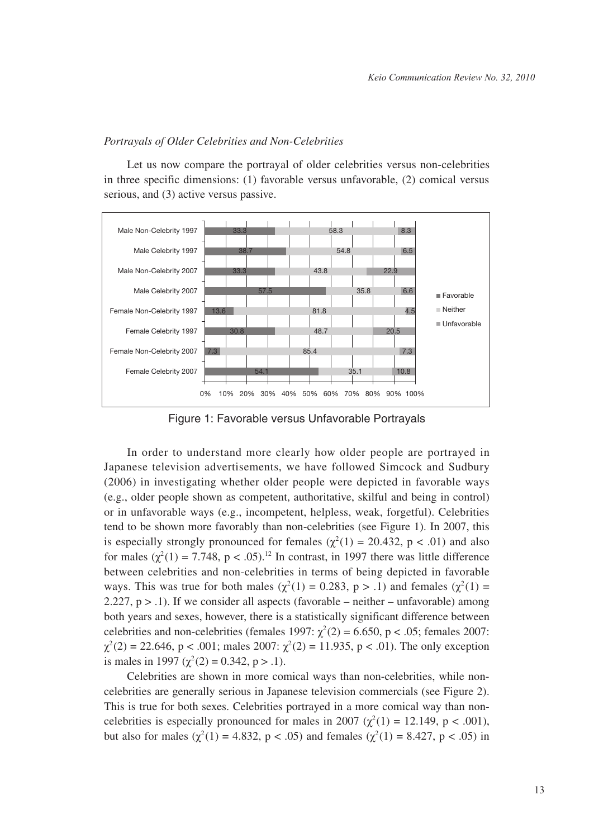#### *Portrayals of Older Celebrities and Non-Celebrities*

Let us now compare the portrayal of older celebrities versus non-celebrities in three specific dimensions: (1) favorable versus unfavorable, (2) comical versus serious, and (3) active versus passive.



Figure 1: Favorable versus Unfavorable Portrayals

In order to understand more clearly how older people are portrayed in Japanese television advertisements, we have followed Simcock and Sudbury (2006) in investigating whether older people were depicted in favorable ways (e.g., older people shown as competent, authoritative, skilful and being in control) or in unfavorable ways (e.g., incompetent, helpless, weak, forgetful). Celebrities tend to be shown more favorably than non-celebrities (see Figure 1). In 2007, this is especially strongly pronounced for females  $(\chi^2(1) = 20.432, p < .01)$  and also for males  $(\chi^2(1) = 7.748, p < .05).^{12}$  In contrast, in 1997 there was little difference between celebrities and non-celebrities in terms of being depicted in favorable ways. This was true for both males ( $\chi^2(1) = 0.283$ , p > .1) and females ( $\chi^2(1) =$ 2.227,  $p > 0.1$ ). If we consider all aspects (favorable – neither – unfavorable) among both years and sexes, however, there is a statistically significant difference between celebrities and non-celebrities (females 1997:  $\chi^2(2) = 6.650$ , p < .05; females 2007:  $\chi^2(2) = 22.646$ , p < .001; males 2007:  $\chi^2(2) = 11.935$ , p < .01). The only exception is males in 1997 ( $\chi^2(2) = 0.342$ , p > .1).

Celebrities are shown in more comical ways than non-celebrities, while noncelebrities are generally serious in Japanese television commercials (see Figure 2). This is true for both sexes. Celebrities portrayed in a more comical way than noncelebrities is especially pronounced for males in 2007 ( $\chi^2(1) = 12.149$ , p < .001), but also for males ( $\chi^2(1) = 4.832$ , p < .05) and females ( $\chi^2(1) = 8.427$ , p < .05) in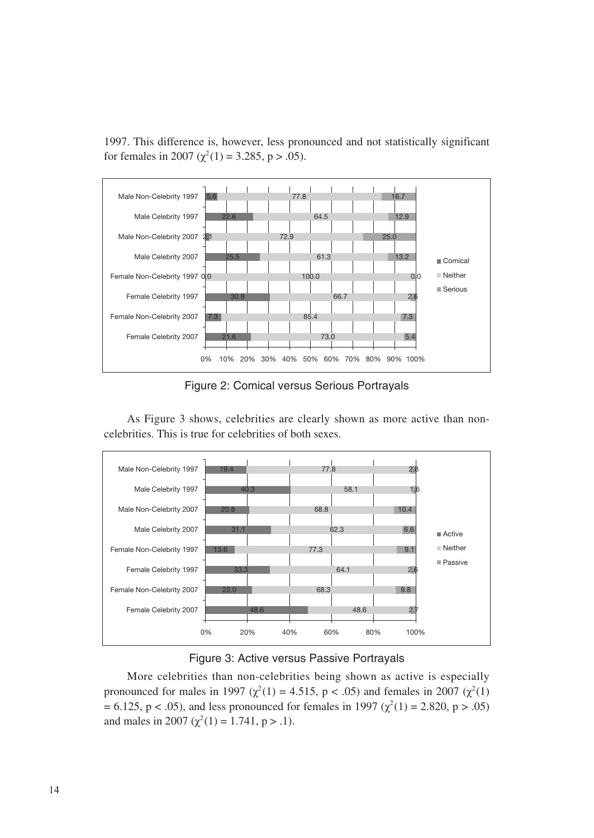1997. This difference is, however, less pronounced and not statistically significant for females in 2007 ( $\chi^2(1) = 3.285$ , p > .05).



Figure 2: Comical versus Serious Portrayals

As Figure 3 shows, celebrities are clearly shown as more active than noncelebrities. This is true for celebrities of both sexes.





More celebrities than non-celebrities being shown as active is especially pronounced for males in 1997 ( $\chi^2(1) = 4.515$ , p < .05) and females in 2007 ( $\chi^2(1)$ )  $= 6.125$ , p < .05), and less pronounced for females in 1997 ( $\chi^2(1) = 2.820$ , p > .05) and males in 2007 ( $\chi^2(1) = 1.741$ , p > .1).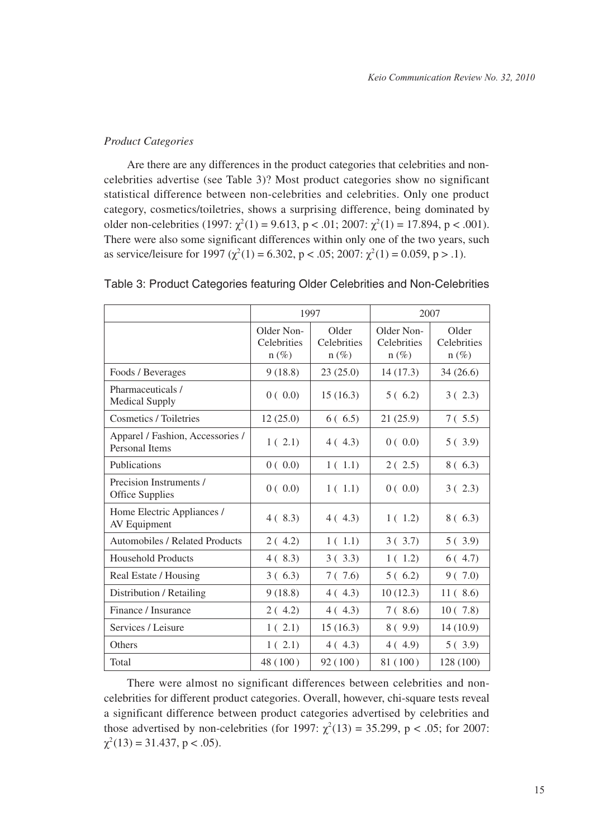## *Product Categories*

Are there are any differences in the product categories that celebrities and noncelebrities advertise (see Table 3)? Most product categories show no significant statistical difference between non-celebrities and celebrities. Only one product category, cosmetics/toiletries, shows a surprising difference, being dominated by older non-celebrities (1997:  $\chi^2(1) = 9.613$ , p < .01; 2007:  $\chi^2(1) = 17.894$ , p < .001). There were also some significant differences within only one of the two years, such as service/leisure for 1997 ( $\chi^2(1) = 6.302$ , p < .05; 2007:  $\chi^2(1) = 0.059$ , p > .1).

|                                                    | 1997                                  |                                 | 2007                                 |                                  |
|----------------------------------------------------|---------------------------------------|---------------------------------|--------------------------------------|----------------------------------|
|                                                    | Older Non-<br>Celebrities<br>$n (\%)$ | Older<br>Celebrities<br>$n(\%)$ | Older Non-<br>Celebrities<br>$n(\%)$ | Older<br>Celebrities<br>$n (\%)$ |
| Foods / Beverages                                  | 9(18.8)                               | 23(25.0)                        | 14(17.3)                             | 34(26.6)                         |
| Pharmaceuticals /<br><b>Medical Supply</b>         | 0(0.0)                                | 15(16.3)                        | 5(6.2)                               | 3(2.3)                           |
| Cosmetics / Toiletries                             | 12(25.0)                              | 6(6.5)                          | 21(25.9)                             | 7(.5.5)                          |
| Apparel / Fashion, Accessories /<br>Personal Items | 1(2.1)                                | 4(4.3)                          | 0(0.0)                               | 5(3.9)                           |
| Publications                                       | 0(0.0)                                | 1(1.1)                          | 2(2.5)                               | 8 ( 6.3)                         |
| Precision Instruments /<br><b>Office Supplies</b>  | 0(0.0)                                | 1(1.1)                          | 0(0.0)                               | 3(2.3)                           |
| Home Electric Appliances /<br>AV Equipment         | 4(8.3)                                | 4(4.3)                          | 1(1.2)                               | 8(6.3)                           |
| Automobiles / Related Products                     | 2(4.2)                                | 1(1.1)                          | 3(3.7)                               | 5(3.9)                           |
| <b>Household Products</b>                          | 4(8.3)                                | 3(3.3)                          | 1(1.2)                               | 6(4.7)                           |
| Real Estate / Housing                              | 3(6.3)                                | 7(7.6)                          | 5(6.2)                               | 9(7.0)                           |
| Distribution / Retailing                           | 9(18.8)                               | 4(4.3)                          | 10(12.3)                             | 11(8.6)                          |
| Finance / Insurance                                | 2(4.2)                                | 4(4.3)                          | 7(.8.6)                              | 10(7.8)                          |
| Services / Leisure                                 | 1(2.1)                                | 15(16.3)                        | 8(9.9)                               | 14(10.9)                         |
| Others                                             | 1(2.1)                                | 4(4.3)                          | 4(4.9)                               | 5(3.9)                           |
| Total                                              | 48 (100)                              | 92(100)                         | 81 (100)                             | 128 (100)                        |

## Table 3: Product Categories featuring Older Celebrities and Non-Celebrities

There were almost no significant differences between celebrities and noncelebrities for different product categories. Overall, however, chi-square tests reveal a significant difference between product categories advertised by celebrities and those advertised by non-celebrities (for 1997:  $\chi^2(13) = 35.299$ , p < .05; for 2007:  $\chi^2(13) = 31.437$ , p < .05).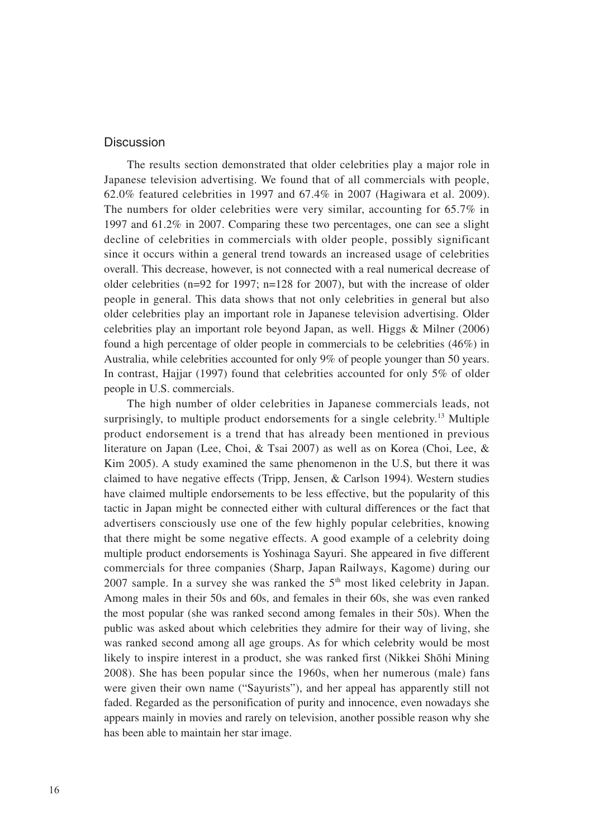#### **Discussion**

The results section demonstrated that older celebrities play a major role in Japanese television advertising. We found that of all commercials with people, 62.0% featured celebrities in 1997 and 67.4% in 2007 (Hagiwara et al. 2009). The numbers for older celebrities were very similar, accounting for 65.7% in 1997 and 61.2% in 2007. Comparing these two percentages, one can see a slight decline of celebrities in commercials with older people, possibly significant since it occurs within a general trend towards an increased usage of celebrities overall. This decrease, however, is not connected with a real numerical decrease of older celebrities (n=92 for 1997; n=128 for 2007), but with the increase of older people in general. This data shows that not only celebrities in general but also older celebrities play an important role in Japanese television advertising. Older celebrities play an important role beyond Japan, as well. Higgs & Milner (2006) found a high percentage of older people in commercials to be celebrities (46%) in Australia, while celebrities accounted for only 9% of people younger than 50 years. In contrast, Hajjar (1997) found that celebrities accounted for only 5% of older people in U.S. commercials.

The high number of older celebrities in Japanese commercials leads, not surprisingly, to multiple product endorsements for a single celebrity.<sup>13</sup> Multiple product endorsement is a trend that has already been mentioned in previous literature on Japan (Lee, Choi, & Tsai 2007) as well as on Korea (Choi, Lee, & Kim 2005). A study examined the same phenomenon in the U.S, but there it was claimed to have negative effects (Tripp, Jensen, & Carlson 1994). Western studies have claimed multiple endorsements to be less effective, but the popularity of this tactic in Japan might be connected either with cultural differences or the fact that advertisers consciously use one of the few highly popular celebrities, knowing that there might be some negative effects. A good example of a celebrity doing multiple product endorsements is Yoshinaga Sayuri. She appeared in five different commercials for three companies (Sharp, Japan Railways, Kagome) during our 2007 sample. In a survey she was ranked the  $5<sup>th</sup>$  most liked celebrity in Japan. Among males in their 50s and 60s, and females in their 60s, she was even ranked the most popular (she was ranked second among females in their 50s). When the public was asked about which celebrities they admire for their way of living, she was ranked second among all age groups. As for which celebrity would be most likely to inspire interest in a product, she was ranked first (Nikkei Shōhi Mining 2008). She has been popular since the 1960s, when her numerous (male) fans were given their own name ("Sayurists"), and her appeal has apparently still not faded. Regarded as the personification of purity and innocence, even nowadays she appears mainly in movies and rarely on television, another possible reason why she has been able to maintain her star image.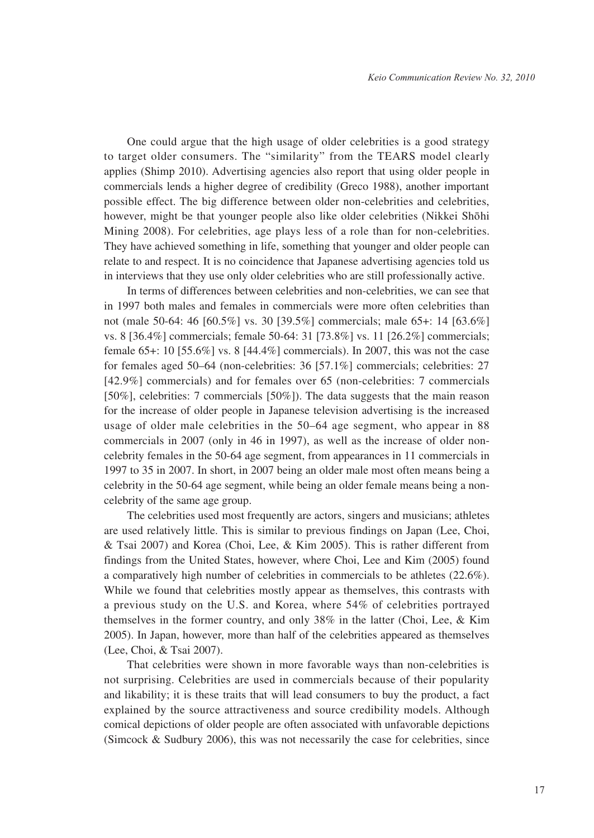One could argue that the high usage of older celebrities is a good strategy to target older consumers. The "similarity" from the TEARS model clearly applies (Shimp 2010). Advertising agencies also report that using older people in commercials lends a higher degree of credibility (Greco 1988), another important possible effect. The big difference between older non-celebrities and celebrities, however, might be that younger people also like older celebrities (Nikkei Shōhi Mining 2008). For celebrities, age plays less of a role than for non-celebrities. They have achieved something in life, something that younger and older people can relate to and respect. It is no coincidence that Japanese advertising agencies told us in interviews that they use only older celebrities who are still professionally active.

In terms of differences between celebrities and non-celebrities, we can see that in 1997 both males and females in commercials were more often celebrities than not (male 50-64: 46 [60.5%] vs. 30 [39.5%] commercials; male 65+: 14 [63.6%] vs. 8 [36.4%] commercials; female 50-64: 31 [73.8%] vs. 11 [26.2%] commercials; female 65+: 10 [55.6%] vs. 8 [44.4%] commercials). In 2007, this was not the case for females aged 50–64 (non-celebrities: 36 [57.1%] commercials; celebrities: 27 [42.9%] commercials) and for females over 65 (non-celebrities: 7 commercials [50%], celebrities: 7 commercials [50%]). The data suggests that the main reason for the increase of older people in Japanese television advertising is the increased usage of older male celebrities in the 50–64 age segment, who appear in 88 commercials in 2007 (only in 46 in 1997), as well as the increase of older noncelebrity females in the 50-64 age segment, from appearances in 11 commercials in 1997 to 35 in 2007. In short, in 2007 being an older male most often means being a celebrity in the 50-64 age segment, while being an older female means being a noncelebrity of the same age group.

The celebrities used most frequently are actors, singers and musicians; athletes are used relatively little. This is similar to previous findings on Japan (Lee, Choi, & Tsai 2007) and Korea (Choi, Lee, & Kim 2005). This is rather different from findings from the United States, however, where Choi, Lee and Kim (2005) found a comparatively high number of celebrities in commercials to be athletes (22.6%). While we found that celebrities mostly appear as themselves, this contrasts with a previous study on the U.S. and Korea, where 54% of celebrities portrayed themselves in the former country, and only 38% in the latter (Choi, Lee, & Kim 2005). In Japan, however, more than half of the celebrities appeared as themselves (Lee, Choi, & Tsai 2007).

That celebrities were shown in more favorable ways than non-celebrities is not surprising. Celebrities are used in commercials because of their popularity and likability; it is these traits that will lead consumers to buy the product, a fact explained by the source attractiveness and source credibility models. Although comical depictions of older people are often associated with unfavorable depictions (Simcock & Sudbury 2006), this was not necessarily the case for celebrities, since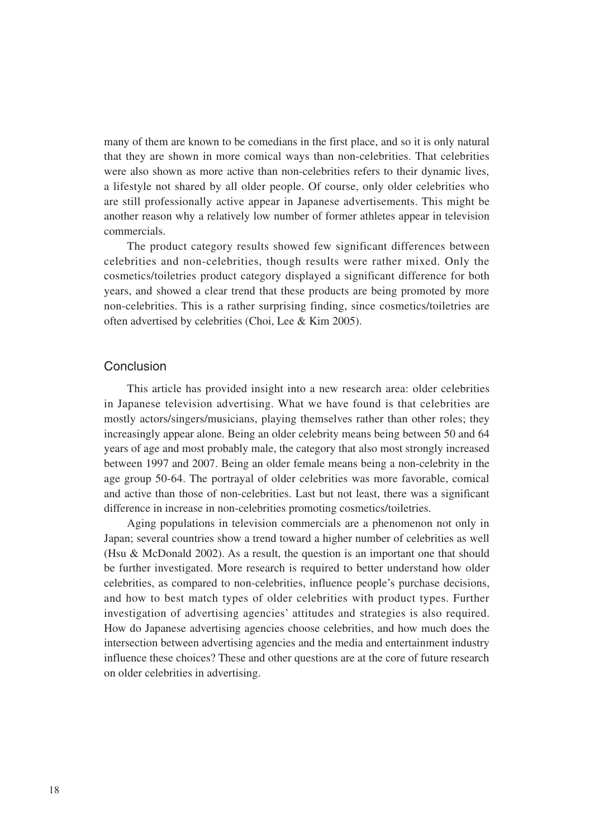many of them are known to be comedians in the first place, and so it is only natural that they are shown in more comical ways than non-celebrities. That celebrities were also shown as more active than non-celebrities refers to their dynamic lives, a lifestyle not shared by all older people. Of course, only older celebrities who are still professionally active appear in Japanese advertisements. This might be another reason why a relatively low number of former athletes appear in television commercials.

The product category results showed few significant differences between celebrities and non-celebrities, though results were rather mixed. Only the cosmetics/toiletries product category displayed a significant difference for both years, and showed a clear trend that these products are being promoted by more non-celebrities. This is a rather surprising finding, since cosmetics/toiletries are often advertised by celebrities (Choi, Lee & Kim 2005).

## Conclusion

This article has provided insight into a new research area: older celebrities in Japanese television advertising. What we have found is that celebrities are mostly actors/singers/musicians, playing themselves rather than other roles; they increasingly appear alone. Being an older celebrity means being between 50 and 64 years of age and most probably male, the category that also most strongly increased between 1997 and 2007. Being an older female means being a non-celebrity in the age group 50-64. The portrayal of older celebrities was more favorable, comical and active than those of non-celebrities. Last but not least, there was a significant difference in increase in non-celebrities promoting cosmetics/toiletries.

Aging populations in television commercials are a phenomenon not only in Japan; several countries show a trend toward a higher number of celebrities as well (Hsu & McDonald 2002). As a result, the question is an important one that should be further investigated. More research is required to better understand how older celebrities, as compared to non-celebrities, influence people's purchase decisions, and how to best match types of older celebrities with product types. Further investigation of advertising agencies' attitudes and strategies is also required. How do Japanese advertising agencies choose celebrities, and how much does the intersection between advertising agencies and the media and entertainment industry influence these choices? These and other questions are at the core of future research on older celebrities in advertising.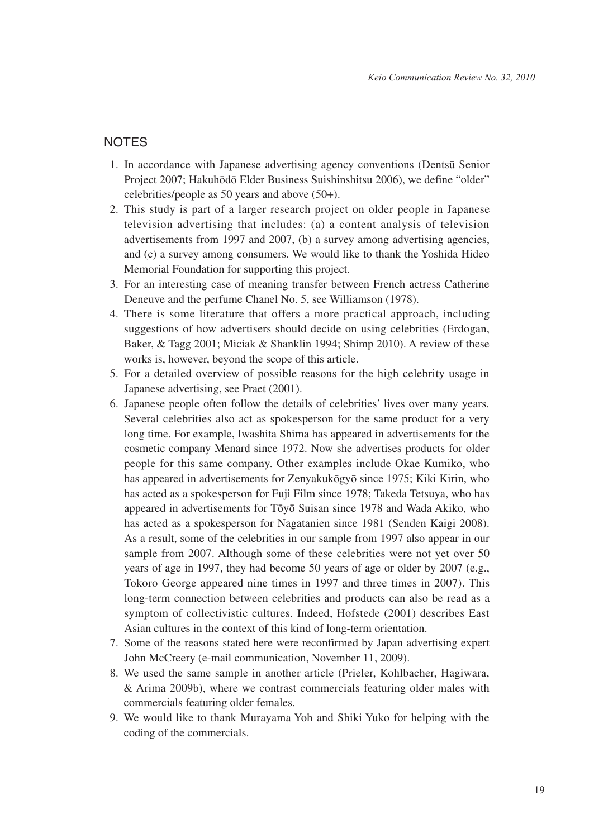## **NOTES**

- 1. In accordance with Japanese advertising agency conventions (Dentsū Senior Project 2007; Hakuhōdō Elder Business Suishinshitsu 2006), we define "older" celebrities/people as 50 years and above (50+).
- 2. This study is part of a larger research project on older people in Japanese television advertising that includes: (a) a content analysis of television advertisements from 1997 and 2007, (b) a survey among advertising agencies, and (c) a survey among consumers. We would like to thank the Yoshida Hideo Memorial Foundation for supporting this project.
- 3. For an interesting case of meaning transfer between French actress Catherine Deneuve and the perfume Chanel No. 5, see Williamson (1978).
- 4. There is some literature that offers a more practical approach, including suggestions of how advertisers should decide on using celebrities (Erdogan, Baker, & Tagg 2001; Miciak & Shanklin 1994; Shimp 2010). A review of these works is, however, beyond the scope of this article.
- 5. For a detailed overview of possible reasons for the high celebrity usage in Japanese advertising, see Praet (2001).
- 6. Japanese people often follow the details of celebrities' lives over many years. Several celebrities also act as spokesperson for the same product for a very long time. For example, Iwashita Shima has appeared in advertisements for the cosmetic company Menard since 1972. Now she advertises products for older people for this same company. Other examples include Okae Kumiko, who has appeared in advertisements for Zenyakukōgyō since 1975; Kiki Kirin, who has acted as a spokesperson for Fuji Film since 1978; Takeda Tetsuya, who has appeared in advertisements for Tōyō Suisan since 1978 and Wada Akiko, who has acted as a spokesperson for Nagatanien since 1981 (Senden Kaigi 2008). As a result, some of the celebrities in our sample from 1997 also appear in our sample from 2007. Although some of these celebrities were not yet over 50 years of age in 1997, they had become 50 years of age or older by 2007 (e.g., Tokoro George appeared nine times in 1997 and three times in 2007). This long-term connection between celebrities and products can also be read as a symptom of collectivistic cultures. Indeed, Hofstede (2001) describes East Asian cultures in the context of this kind of long-term orientation.
- 7. Some of the reasons stated here were reconfirmed by Japan advertising expert John McCreery (e-mail communication, November 11, 2009).
- 8. We used the same sample in another article (Prieler, Kohlbacher, Hagiwara, & Arima 2009b), where we contrast commercials featuring older males with commercials featuring older females.
- 9. We would like to thank Murayama Yoh and Shiki Yuko for helping with the coding of the commercials.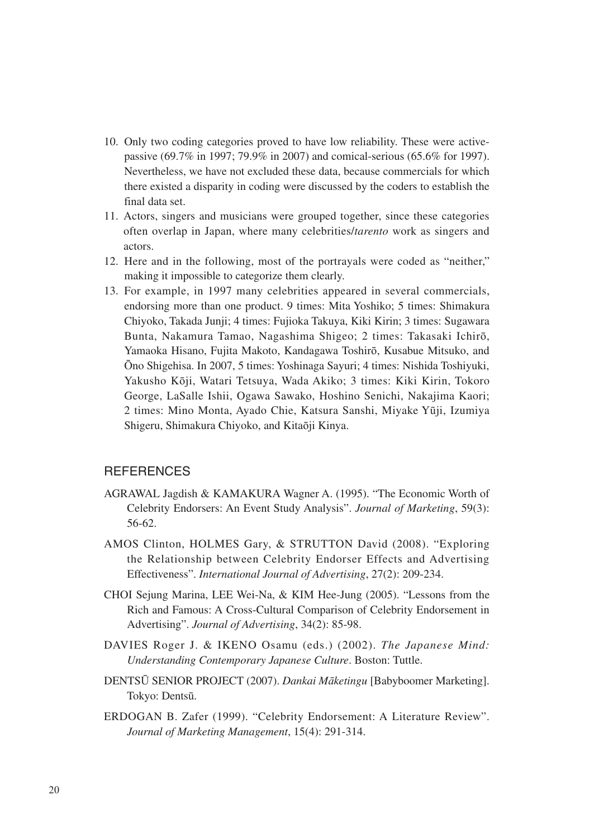- 10. Only two coding categories proved to have low reliability. These were activepassive (69.7% in 1997; 79.9% in 2007) and comical-serious (65.6% for 1997). Nevertheless, we have not excluded these data, because commercials for which there existed a disparity in coding were discussed by the coders to establish the final data set.
- 11. Actors, singers and musicians were grouped together, since these categories often overlap in Japan, where many celebrities/*tarento* work as singers and actors.
- 12. Here and in the following, most of the portrayals were coded as "neither," making it impossible to categorize them clearly.
- 13. For example, in 1997 many celebrities appeared in several commercials, endorsing more than one product. 9 times: Mita Yoshiko; 5 times: Shimakura Chiyoko, Takada Junji; 4 times: Fujioka Takuya, Kiki Kirin; 3 times: Sugawara Bunta, Nakamura Tamao, Nagashima Shigeo; 2 times: Takasaki Ichirō, Yamaoka Hisano, Fujita Makoto, Kandagawa Toshirō, Kusabue Mitsuko, and Ōno Shigehisa. In 2007, 5 times: Yoshinaga Sayuri; 4 times: Nishida Toshiyuki, Yakusho Kōji, Watari Tetsuya, Wada Akiko; 3 times: Kiki Kirin, Tokoro George, LaSalle Ishii, Ogawa Sawako, Hoshino Senichi, Nakajima Kaori; 2 times: Mino Monta, Ayado Chie, Katsura Sanshi, Miyake Yūji, Izumiya Shigeru, Shimakura Chiyoko, and Kitaōji Kinya.

## **REFERENCES**

- AGRAWAL Jagdish & KAMAKURA Wagner A. (1995). "The Economic Worth of Celebrity Endorsers: An Event Study Analysis". *Journal of Marketing*, 59(3): 56-62.
- AMOS Clinton, HOLMES Gary, & STRUTTON David (2008). "Exploring the Relationship between Celebrity Endorser Effects and Advertising Effectiveness". *International Journal of Advertising*, 27(2): 209-234.
- CHOI Sejung Marina, LEE Wei-Na, & KIM Hee-Jung (2005). "Lessons from the Rich and Famous: A Cross-Cultural Comparison of Celebrity Endorsement in Advertising". *Journal of Advertising*, 34(2): 85-98.
- DAVIES Roger J. & IKENO Osamu (eds.) (2002). *The Japanese Mind: Understanding Contemporary Japanese Culture*. Boston: Tuttle.
- DENTSŪ SENIOR PROJECT (2007). *Dankai Māketingu* [Babyboomer Marketing]. Tokyo: Dentsū.
- ERDOGAN B. Zafer (1999). "Celebrity Endorsement: A Literature Review". *Journal of Marketing Management*, 15(4): 291-314.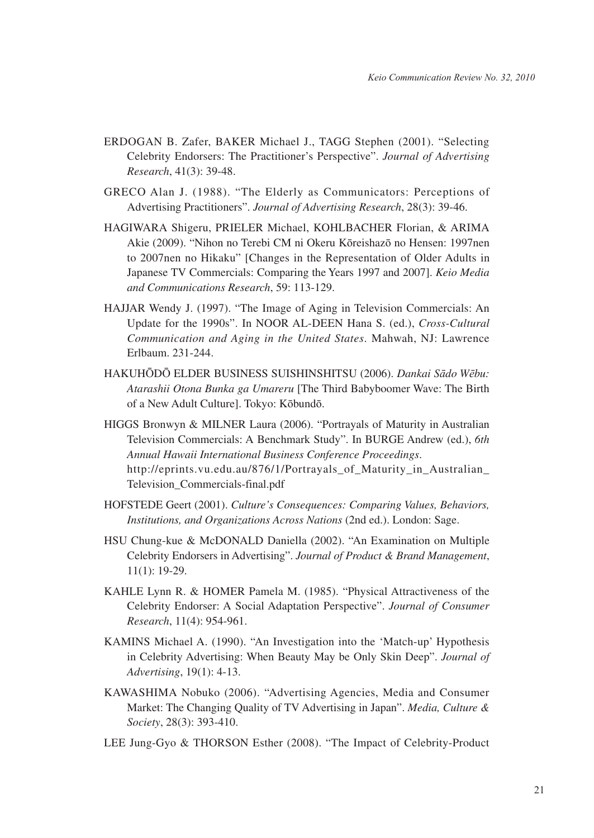- ERDOGAN B. Zafer, BAKER Michael J., TAGG Stephen (2001). "Selecting Celebrity Endorsers: The Practitioner's Perspective". *Journal of Advertising Research*, 41(3): 39-48.
- GRECO Alan J. (1988). "The Elderly as Communicators: Perceptions of Advertising Practitioners". *Journal of Advertising Research*, 28(3): 39-46.
- HAGIWARA Shigeru, PRIELER Michael, KOHLBACHER Florian, & ARIMA Akie (2009). "Nihon no Terebi CM ni Okeru Kōreishazō no Hensen: 1997nen to 2007nen no Hikaku" [Changes in the Representation of Older Adults in Japanese TV Commercials: Comparing the Years 1997 and 2007]. *Keio Media and Communications Research*, 59: 113-129.
- HAJJAR Wendy J. (1997). "The Image of Aging in Television Commercials: An Update for the 1990s". In NOOR AL-DEEN Hana S. (ed.), *Cross-Cultural Communication and Aging in the United States*. Mahwah, NJ: Lawrence Erlbaum. 231-244.
- HAKUHŌDŌ ELDER BUSINESS SUISHINSHITSU (2006). *Dankai Sādo Wēbu: Atarashii Otona Bunka ga Umareru* [The Third Babyboomer Wave: The Birth of a New Adult Culture]. Tokyo: Kōbundō.
- HIGGS Bronwyn & MILNER Laura (2006). "Portrayals of Maturity in Australian Television Commercials: A Benchmark Study". In BURGE Andrew (ed.), *6th Annual Hawaii International Business Conference Proceedings*. http://eprints.vu.edu.au/876/1/Portrayals of Maturity in Australian Television\_Commercials-final.pdf
- HOFSTEDE Geert (2001). *Culture's Consequences: Comparing Values, Behaviors, Institutions, and Organizations Across Nations* (2nd ed.). London: Sage.
- HSU Chung-kue & McDONALD Daniella (2002). "An Examination on Multiple Celebrity Endorsers in Advertising". *Journal of Product & Brand Management*, 11(1): 19-29.
- KAHLE Lynn R. & HOMER Pamela M. (1985). "Physical Attractiveness of the Celebrity Endorser: A Social Adaptation Perspective". *Journal of Consumer Research*, 11(4): 954-961.
- KAMINS Michael A. (1990). "An Investigation into the 'Match-up' Hypothesis in Celebrity Advertising: When Beauty May be Only Skin Deep". *Journal of Advertising*, 19(1): 4-13.
- KAWASHIMA Nobuko (2006). "Advertising Agencies, Media and Consumer Market: The Changing Quality of TV Advertising in Japan". *Media, Culture & Society*, 28(3): 393-410.
- LEE Jung-Gyo & THORSON Esther (2008). "The Impact of Celebrity-Product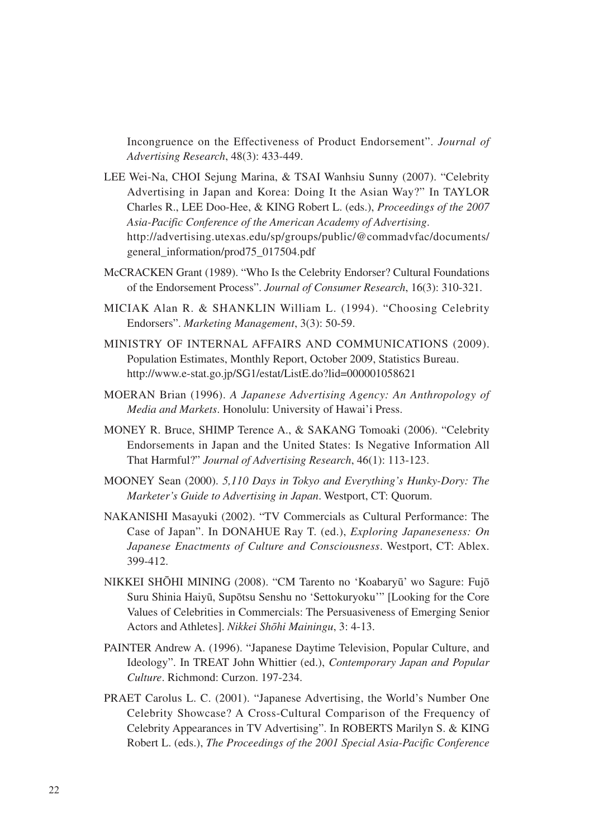Incongruence on the Effectiveness of Product Endorsement". *Journal of Advertising Research*, 48(3): 433-449.

- LEE Wei-Na, CHOI Sejung Marina, & TSAI Wanhsiu Sunny (2007). "Celebrity Advertising in Japan and Korea: Doing It the Asian Way?" In TAYLOR Charles R., LEE Doo-Hee, & KING Robert L. (eds.), *Proceedings of the 2007 Asia-Pacific Conference of the American Academy of Advertising*. http://advertising.utexas.edu/sp/groups/public/@commadvfac/documents/ general\_information/prod75\_017504.pdf
- McCRACKEN Grant (1989). "Who Is the Celebrity Endorser? Cultural Foundations of the Endorsement Process". *Journal of Consumer Research*, 16(3): 310-321.
- MICIAK Alan R. & SHANKLIN William L. (1994). "Choosing Celebrity Endorsers". *Marketing Management*, 3(3): 50-59.
- MINISTRY OF INTERNAL AFFAIRS AND COMMUNICATIONS (2009). Population Estimates, Monthly Report, October 2009, Statistics Bureau. http://www.e-stat.go.jp/SG1/estat/ListE.do?lid=000001058621
- MOERAN Brian (1996). *A Japanese Advertising Agency: An Anthropology of Media and Markets*. Honolulu: University of Hawai'i Press.
- MONEY R. Bruce, SHIMP Terence A., & SAKANG Tomoaki (2006). "Celebrity Endorsements in Japan and the United States: Is Negative Information All That Harmful?" *Journal of Advertising Research*, 46(1): 113-123.
- MOONEY Sean (2000). *5,110 Days in Tokyo and Everything's Hunky-Dory: The Marketer's Guide to Advertising in Japan*. Westport, CT: Quorum.
- NAKANISHI Masayuki (2002). "TV Commercials as Cultural Performance: The Case of Japan". In DONAHUE Ray T. (ed.), *Exploring Japaneseness: On Japanese Enactments of Culture and Consciousness*. Westport, CT: Ablex. 399-412.
- NIKKEI SHŌHI MINING (2008). "CM Tarento no 'Koabaryū' wo Sagure: Fujō Suru Shinia Haiyū, Supōtsu Senshu no 'Settokuryoku'" [Looking for the Core Values of Celebrities in Commercials: The Persuasiveness of Emerging Senior Actors and Athletes]. *Nikkei Shōhi Mainingu*, 3: 4-13.
- PAINTER Andrew A. (1996). "Japanese Daytime Television, Popular Culture, and Ideology". In TREAT John Whittier (ed.), *Contemporary Japan and Popular Culture*. Richmond: Curzon. 197-234.
- PRAET Carolus L. C. (2001). "Japanese Advertising, the World's Number One Celebrity Showcase? A Cross-Cultural Comparison of the Frequency of Celebrity Appearances in TV Advertising". In ROBERTS Marilyn S. & KING Robert L. (eds.), *The Proceedings of the 2001 Special Asia-Pacific Conference*